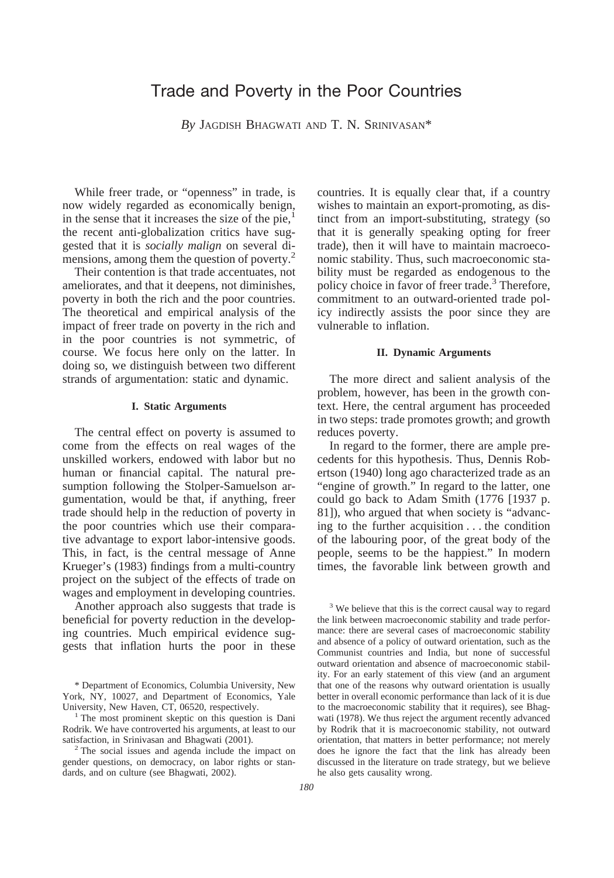# Trade and Poverty in the Poor Countries

*By* JAGDISH BHAGWATI AND T. N. SRINIVASAN\*

While freer trade, or "openness" in trade, is now widely regarded as economically benign, in the sense that it increases the size of the pie, $<sup>1</sup>$ </sup> the recent anti-globalization critics have suggested that it is *socially malign* on several dimensions, among them the question of poverty.<sup>2</sup>

Their contention is that trade accentuates, not ameliorates, and that it deepens, not diminishes, poverty in both the rich and the poor countries. The theoretical and empirical analysis of the impact of freer trade on poverty in the rich and in the poor countries is not symmetric, of course. We focus here only on the latter. In doing so, we distinguish between two different strands of argumentation: static and dynamic.

#### **I. Static Arguments**

The central effect on poverty is assumed to come from the effects on real wages of the unskilled workers, endowed with labor but no human or financial capital. The natural presumption following the Stolper-Samuelson argumentation, would be that, if anything, freer trade should help in the reduction of poverty in the poor countries which use their comparative advantage to export labor-intensive goods. This, in fact, is the central message of Anne Krueger's (1983) findings from a multi-country project on the subject of the effects of trade on wages and employment in developing countries.

Another approach also suggests that trade is beneficial for poverty reduction in the developing countries. Much empirical evidence suggests that inflation hurts the poor in these

gender questions, on democracy, on labor rights or standards, and on culture (see Bhagwati, 2002).

countries. It is equally clear that, if a country wishes to maintain an export-promoting, as distinct from an import-substituting, strategy (so that it is generally speaking opting for freer trade), then it will have to maintain macroeconomic stability. Thus, such macroeconomic stability must be regarded as endogenous to the policy choice in favor of freer trade.<sup>3</sup> Therefore, commitment to an outward-oriented trade policy indirectly assists the poor since they are vulnerable to inflation.

#### **II. Dynamic Arguments**

The more direct and salient analysis of the problem, however, has been in the growth context. Here, the central argument has proceeded in two steps: trade promotes growth; and growth reduces poverty.

In regard to the former, there are ample precedents for this hypothesis. Thus, Dennis Robertson (1940) long ago characterized trade as an "engine of growth." In regard to the latter, one could go back to Adam Smith (1776 [1937 p. 81]), who argued that when society is "advancing to the further acquisition . . . the condition of the labouring poor, of the great body of the people, seems to be the happiest." In modern times, the favorable link between growth and

<sup>3</sup> We believe that this is the correct causal way to regard the link between macroeconomic stability and trade performance: there are several cases of macroeconomic stability and absence of a policy of outward orientation, such as the Communist countries and India, but none of successful outward orientation and absence of macroeconomic stability. For an early statement of this view (and an argument that one of the reasons why outward orientation is usually better in overall economic performance than lack of it is due to the macroeconomic stability that it requires), see Bhagwati (1978). We thus reject the argument recently advanced by Rodrik that it is macroeconomic stability, not outward orientation, that matters in better performance; not merely does he ignore the fact that the link has already been discussed in the literature on trade strategy, but we believe he also gets causality wrong.

<sup>\*</sup> Department of Economics, Columbia University, New York, NY, 10027, and Department of Economics, Yale University, New Haven, CT, 06520, respectively.<br><sup>1</sup> The most prominent skeptic on this question is Dani

Rodrik. We have controverted his arguments, at least to our satisfaction, in Srinivasan and Bhagwati (2001).<br><sup>2</sup> The social issues and agenda include the impact on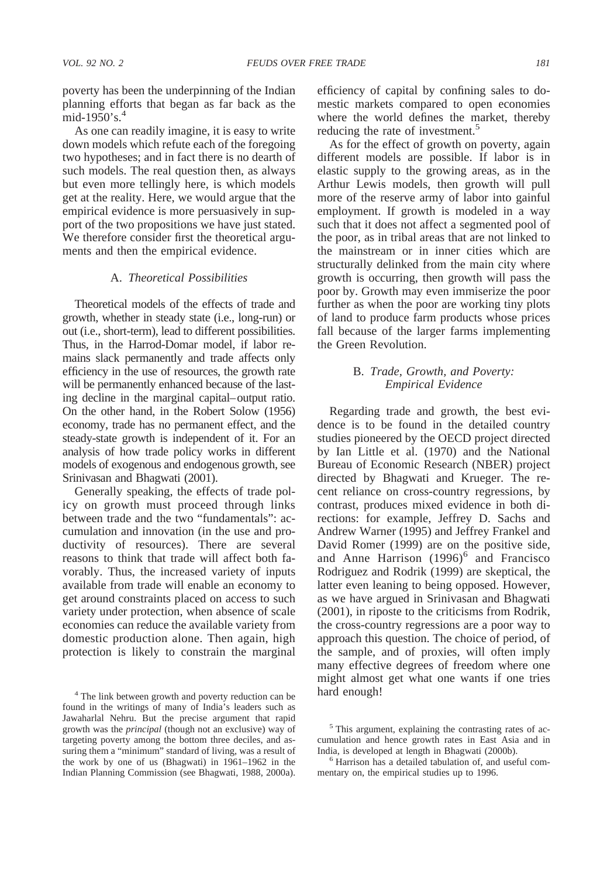poverty has been the underpinning of the Indian planning efforts that began as far back as the mid-1950's. $4$ 

As one can readily imagine, it is easy to write down models which refute each of the foregoing two hypotheses; and in fact there is no dearth of such models. The real question then, as always but even more tellingly here, is which models get at the reality. Here, we would argue that the empirical evidence is more persuasively in support of the two propositions we have just stated. We therefore consider first the theoretical arguments and then the empirical evidence.

## A. *Theoretical Possibilities*

Theoretical models of the effects of trade and growth, whether in steady state (i.e., long-run) or out (i.e., short-term), lead to different possibilities. Thus, in the Harrod-Domar model, if labor remains slack permanently and trade affects only efficiency in the use of resources, the growth rate will be permanently enhanced because of the lasting decline in the marginal capital–output ratio. On the other hand, in the Robert Solow (1956) economy, trade has no permanent effect, and the steady-state growth is independent of it. For an analysis of how trade policy works in different models of exogenous and endogenous growth, see Srinivasan and Bhagwati (2001).

Generally speaking, the effects of trade policy on growth must proceed through links between trade and the two "fundamentals": accumulation and innovation (in the use and productivity of resources). There are several reasons to think that trade will affect both favorably. Thus, the increased variety of inputs available from trade will enable an economy to get around constraints placed on access to such variety under protection, when absence of scale economies can reduce the available variety from domestic production alone. Then again, high protection is likely to constrain the marginal efficiency of capital by confining sales to domestic markets compared to open economies where the world defines the market, thereby reducing the rate of investment.<sup>5</sup>

As for the effect of growth on poverty, again different models are possible. If labor is in elastic supply to the growing areas, as in the Arthur Lewis models, then growth will pull more of the reserve army of labor into gainful employment. If growth is modeled in a way such that it does not affect a segmented pool of the poor, as in tribal areas that are not linked to the mainstream or in inner cities which are structurally delinked from the main city where growth is occurring, then growth will pass the poor by. Growth may even immiserize the poor further as when the poor are working tiny plots of land to produce farm products whose prices fall because of the larger farms implementing the Green Revolution.

## B. *Trade, Growth, and Poverty: Empirical Evidence*

Regarding trade and growth, the best evidence is to be found in the detailed country studies pioneered by the OECD project directed by Ian Little et al. (1970) and the National Bureau of Economic Research (NBER) project directed by Bhagwati and Krueger. The recent reliance on cross-country regressions, by contrast, produces mixed evidence in both directions: for example, Jeffrey D. Sachs and Andrew Warner (1995) and Jeffrey Frankel and David Romer (1999) are on the positive side, and Anne Harrison  $(1996)^6$  and Francisco Rodriguez and Rodrik (1999) are skeptical, the latter even leaning to being opposed. However, as we have argued in Srinivasan and Bhagwati (2001), in riposte to the criticisms from Rodrik, the cross-country regressions are a poor way to approach this question. The choice of period, of the sample, and of proxies, will often imply many effective degrees of freedom where one might almost get what one wants if one tries

<sup>&</sup>lt;sup>4</sup> The link between growth and poverty reduction can be hard enough! found in the writings of many of India's leaders such as Jawaharlal Nehru. But the precise argument that rapid growth was the *principal* (though not an exclusive) way of targeting poverty among the bottom three deciles, and assuring them a "minimum" standard of living, was a result of the work by one of us (Bhagwati) in 1961–1962 in the Indian Planning Commission (see Bhagwati, 1988, 2000a).

<sup>5</sup> This argument, explaining the contrasting rates of accumulation and hence growth rates in East Asia and in India, is developed at length in Bhagwati (2000b). <sup>6</sup> Harrison has a detailed tabulation of, and useful com-

mentary on, the empirical studies up to 1996.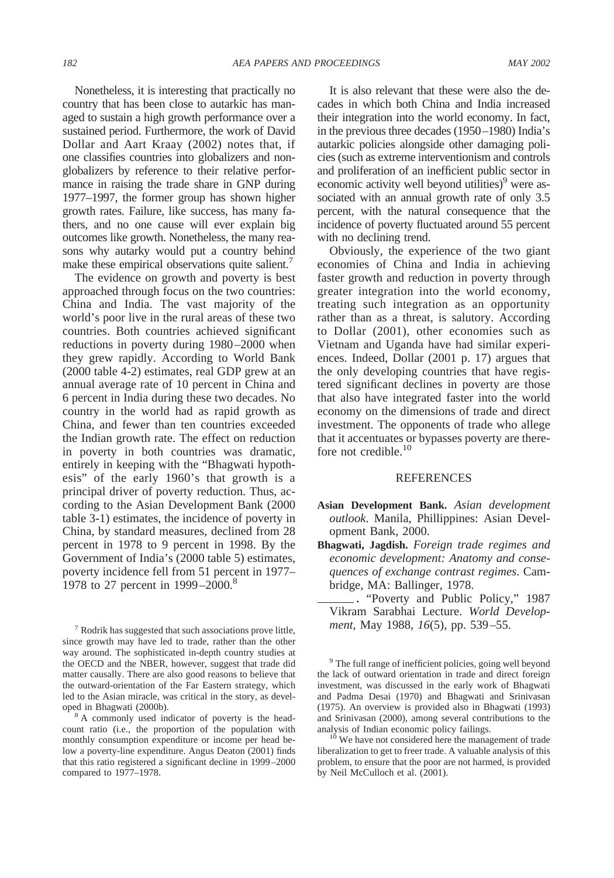Nonetheless, it is interesting that practically no country that has been close to autarkic has managed to sustain a high growth performance over a sustained period. Furthermore, the work of David Dollar and Aart Kraay (2002) notes that, if one classifies countries into globalizers and nonglobalizers by reference to their relative performance in raising the trade share in GNP during 1977–1997, the former group has shown higher growth rates. Failure, like success, has many fathers, and no one cause will ever explain big outcomes like growth. Nonetheless, the many reasons why autarky would put a country behind make these empirical observations quite salient.<sup>7</sup>

The evidence on growth and poverty is best approached through focus on the two countries: China and India. The vast majority of the world's poor live in the rural areas of these two countries. Both countries achieved significant reductions in poverty during 1980–2000 when they grew rapidly. According to World Bank (2000 table 4-2) estimates, real GDP grew at an annual average rate of 10 percent in China and 6 percent in India during these two decades. No country in the world had as rapid growth as China, and fewer than ten countries exceeded the Indian growth rate. The effect on reduction in poverty in both countries was dramatic, entirely in keeping with the "Bhagwati hypothesis" of the early 1960's that growth is a principal driver of poverty reduction. Thus, according to the Asian Development Bank (2000 table 3-1) estimates, the incidence of poverty in China, by standard measures, declined from 28 percent in 1978 to 9 percent in 1998. By the Government of India's (2000 table 5) estimates, poverty incidence fell from 51 percent in 1977– 1978 to 27 percent in 1999–2000.<sup>8</sup>

<sup>7</sup> Rodrik has suggested that such associations prove little, *ment*, May 1988,  $16(5)$ , pp. 539–55. since growth may have led to trade, rather than the other way around. The sophisticated in-depth country studies at the OECD and the NBER, however, suggest that trade did matter causally. There are also good reasons to believe that the outward-orientation of the Far Eastern strategy, which led to the Asian miracle, was critical in the story, as devel-

oped in Bhagwati (2000b). <sup>8</sup> A commonly used indicator of poverty is the headcount ratio (i.e., the proportion of the population with monthly consumption expenditure or income per head below a poverty-line expenditure. Angus Deaton (2001) finds that this ratio registered a significant decline in 1999–2000 compared to 1977–1978.

It is also relevant that these were also the decades in which both China and India increased their integration into the world economy. In fact, in the previous three decades (1950–1980) India's autarkic policies alongside other damaging policies (such as extreme interventionism and controls and proliferation of an inefficient public sector in economic activity well beyond utilities)<sup>9</sup> were associated with an annual growth rate of only 3.5 percent, with the natural consequence that the incidence of poverty fluctuated around 55 percent with no declining trend.

Obviously, the experience of the two giant economies of China and India in achieving faster growth and reduction in poverty through greater integration into the world economy, treating such integration as an opportunity rather than as a threat, is salutory. According to Dollar (2001), other economies such as Vietnam and Uganda have had similar experiences. Indeed, Dollar (2001 p. 17) argues that the only developing countries that have registered significant declines in poverty are those that also have integrated faster into the world economy on the dimensions of trade and direct investment. The opponents of trade who allege that it accentuates or bypasses poverty are therefore not credible.<sup>10</sup>

### **REFERENCES**

- **Asian Development Bank.** *Asian development outlook*. Manila, Phillippines: Asian Development Bank, 2000.
- **Bhagwati, Jagdish.** *Foreign trade regimes and economic development: Anatomy and consequences of exchange contrast regimes*. Cambridge, MA: Ballinger, 1978.
	- **.** "Poverty and Public Policy," 1987 Vikram Sarabhai Lecture. *World Develop-*

<sup>&</sup>lt;sup>9</sup> The full range of inefficient policies, going well beyond the lack of outward orientation in trade and direct foreign investment, was discussed in the early work of Bhagwati and Padma Desai (1970) and Bhagwati and Srinivasan (1975). An overview is provided also in Bhagwati (1993) and Srinivasan (2000), among several contributions to the analysis of Indian economic policy failings. <sup>10</sup> We have not considered here the management of trade

liberalization to get to freer trade. A valuable analysis of this problem, to ensure that the poor are not harmed, is provided by Neil McCulloch et al. (2001).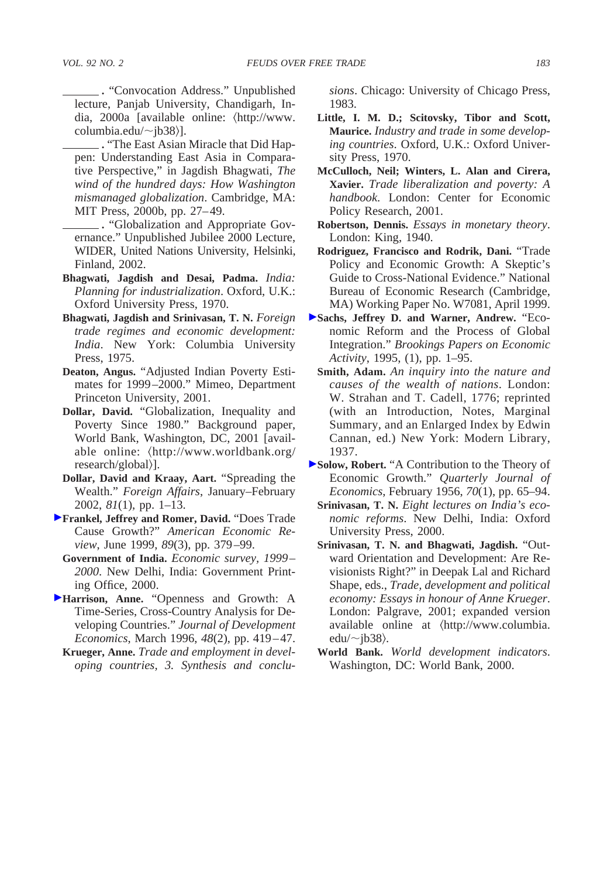**.** "Convocation Address." Unpublished lecture, Panjab University, Chandigarh, India, 2000a [available online:  $\langle$ http://www.  $\text{column}$ ba.edu/ $\sim$ jb38 $\rangle$ ].

**.** "The East Asian Miracle that Did Happen: Understanding East Asia in Comparative Perspective," in Jagdish Bhagwati, *The wind of the hundred days: How Washington mismanaged globalization*. Cambridge, MA: MIT Press, 2000b, pp. 27–49.

- **.** "Globalization and Appropriate Governance." Unpublished Jubilee 2000 Lecture, WIDER, United Nations University, Helsinki, Finland, 2002.
- **Bhagwati, Jagdish and Desai, Padma.** *India: Planning for industrialization*. Oxford, U.K.: Oxford University Press, 1970.
- **Bhagwati, Jagdish and Srinivasan, T. N.** *Foreign trade regimes and economic development: India*. New York: Columbia University Press, 1975.
- **Deaton, Angus.** "Adjusted Indian Poverty Estimates for 1999–2000." Mimeo, Department Princeton University, 2001.
- **Dollar, David.** "Globalization, Inequality and Poverty Since 1980." Background paper, World Bank, Washington, DC, 2001 [available online:  $\langle \frac{http://www.worldbank.org/}{$ research/global).
- **Dollar, David and Kraay, Aart.** "Spreading the Wealth." *Foreign Affairs*, January–February 2002, *81*(1), pp. 1–13.
- **Frankel, Jeffrey and Romer, David.** "Does Trade Cause Growth?" *American Economic Review*, June 1999, *89*(3), pp. 379–99.
	- **Government of India.** *Economic survey, 1999– 2000*. New Delhi, India: Government Printing Office, 2000.
- **Harrison, Anne.** "Openness and Growth: A Time-Series, Cross-Country Analysis for Developing Countries." *Journal of Development Economics*, March 1996, *48*(2), pp. 419–47.
	- **Krueger, Anne.** *Trade and employment in developing countries, 3. Synthesis and conclu-*

*sions*. Chicago: University of Chicago Press, 1983.

- **Little, I. M. D.; Scitovsky, Tibor and Scott, Maurice.** *Industry and trade in some developing countries*. Oxford, U.K.: Oxford University Press, 1970.
- **McCulloch, Neil; Winters, L. Alan and Cirera, Xavier.** *Trade liberalization and poverty: A handbook*. London: Center for Economic Policy Research, 2001.
- **Robertson, Dennis.** *Essays in monetary theory*. London: King, 1940.
- **Rodriguez, Francisco and Rodrik, Dani.** "Trade Policy and Economic Growth: A Skeptic's Guide to Cross-National Evidence." National Bureau of Economic Research (Cambridge, MA) Working Paper No. W7081, April 1999.
- **Sachs, Jeffrey D. and Warner, Andrew.** "Economic Reform and the Process of Global Integration." *Brookings Papers on Economic Activity*, 1995, (1), pp. 1–95.
	- **Smith, Adam.** *An inquiry into the nature and causes of the wealth of nations*. London: W. Strahan and T. Cadell, 1776; reprinted (with an Introduction, Notes, Marginal Summary, and an Enlarged Index by Edwin Cannan, ed.) New York: Modern Library, 1937.
- **Solow, Robert.** "A Contribution to the Theory of Economic Growth." *Quarterly Journal of Economics*, February 1956, *70*(1), pp. 65–94.
- **Srinivasan, T. N.** *Eight lectures on India's economic reforms*. New Delhi, India: Oxford University Press, 2000.
- **Srinivasan, T. N. and Bhagwati, Jagdish.** "Outward Orientation and Development: Are Revisionists Right?" in Deepak Lal and Richard Shape, eds., *Trade, development and political economy: Essays in honour of Anne Krueger*. London: Palgrave, 2001; expanded version available online at  $\langle$ http://www.columbia. edu/ $\sim$ jb38 $\rangle$ .
- **World Bank.** *World development indicators*. Washington, DC: World Bank, 2000.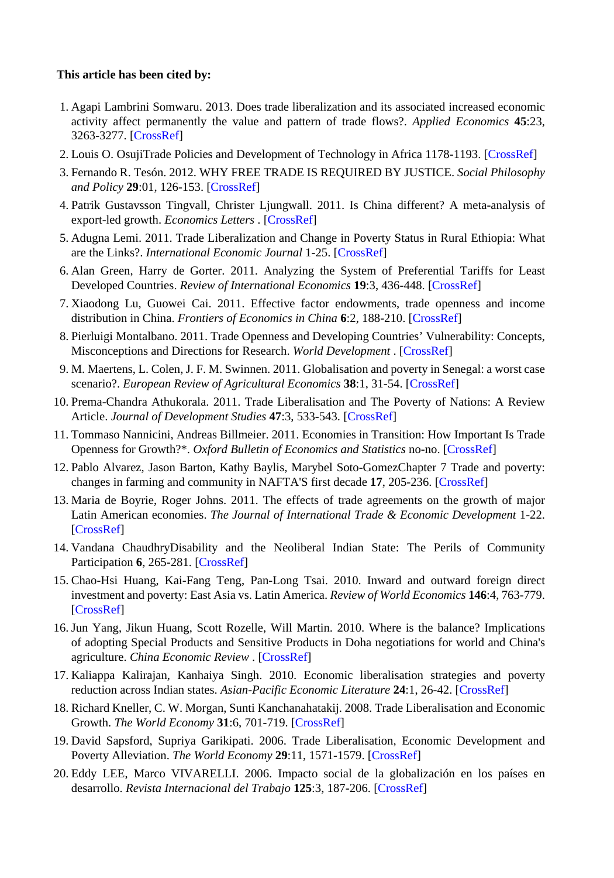# **This article has been cited by:**

- 1. Agapi Lambrini Somwaru. 2013. Does trade liberalization and its associated increased economic activity affect permanently the value and pattern of trade flows?. *Applied Economics* **45**:23, 3263-3277. [\[CrossRef\]](http://dx.doi.org/10.1080/00036846.2012.703312)
- 2. Louis O. OsujiTrade Policies and Development of Technology in Africa 1178-1193. [\[CrossRef](http://dx.doi.org/10.4018/978-1-4666-0882-5.ch608)]
- 3.Fernando R. Tesón. 2012. WHY FREE TRADE IS REQUIRED BY JUSTICE. *Social Philosophy and Policy* **29**:01, 126-153. [[CrossRef\]](http://dx.doi.org/10.1017/S0265052511000112)
- 4.Patrik Gustavsson Tingvall, Christer Ljungwall. 2011. Is China different? A meta-analysis of export-led growth. *Economics Letters* . [[CrossRef\]](http://dx.doi.org/10.1016/j.econlet.2011.11.028)
- 5. Adugna Lemi. 2011. Trade Liberalization and Change in Poverty Status in Rural Ethiopia: What are the Links?. *International Economic Journal* 1-25. [\[CrossRef\]](http://dx.doi.org/10.1080/10168737.2011.616520)
- 6. Alan Green, Harry de Gorter. 2011. Analyzing the System of Preferential Tariffs for Least Developed Countries. *Review of International Economics* **19**:3, 436-448. [\[CrossRef](http://dx.doi.org/10.1111/j.1467-9396.2011.00957.x)]
- 7. Xiaodong Lu, Guowei Cai. 2011. Effective factor endowments, trade openness and income distribution in China. *Frontiers of Economics in China* **6**:2, 188-210. [\[CrossRef](http://dx.doi.org/10.1007/s11459-011-0128-2)]
- 8.Pierluigi Montalbano. 2011. Trade Openness and Developing Countries' Vulnerability: Concepts, Misconceptions and Directions for Research. *World Development* . [[CrossRef\]](http://dx.doi.org/10.1016/j.worlddev.2011.02.009)
- 9. M. Maertens, L. Colen, J. F. M. Swinnen. 2011. Globalisation and poverty in Senegal: a worst case scenario?. *European Review of Agricultural Economics* **38**:1, 31-54. [[CrossRef](http://dx.doi.org/10.1093/erae/jbq053)]
- 10.Prema-Chandra Athukorala. 2011. Trade Liberalisation and The Poverty of Nations: A Review Article. *Journal of Development Studies* **47**:3, 533-543. [\[CrossRef\]](http://dx.doi.org/10.1080/00220388.2010.490079)
- 11. Tommaso Nannicini, Andreas Billmeier. 2011. Economies in Transition: How Important Is Trade Openness for Growth?\*. *Oxford Bulletin of Economics and Statistics* no-no. [[CrossRef\]](http://dx.doi.org/10.1111/j.1468-0084.2010.00626.x)
- 12.Pablo Alvarez, Jason Barton, Kathy Baylis, Marybel Soto-GomezChapter 7 Trade and poverty: changes in farming and community in NAFTA'S first decade **17**, 205-236. [[CrossRef](http://dx.doi.org/10.1108/S1057-1922(2011)0000017010)]
- 13. Maria de Boyrie, Roger Johns. 2011. The effects of trade agreements on the growth of major Latin American economies. *The Journal of International Trade & Economic Development* 1-22. [\[CrossRef](http://dx.doi.org/10.1080/09638199.2011.578753)]
- 14. Vandana ChaudhryDisability and the Neoliberal Indian State: The Perils of Community Participation **6**, 265-281. [[CrossRef](http://dx.doi.org/10.1108/S1479-3547(2011)0000006014)]
- 15. Chao-Hsi Huang, Kai-Fang Teng, Pan-Long Tsai. 2010. Inward and outward foreign direct investment and poverty: East Asia vs. Latin America. *Review of World Economics* **146**:4, 763-779. [\[CrossRef](http://dx.doi.org/10.1007/s10290-010-0069-3)]
- 16. Jun Yang, Jikun Huang, Scott Rozelle, Will Martin. 2010. Where is the balance? Implications of adopting Special Products and Sensitive Products in Doha negotiations for world and China's agriculture. *China Economic Review* . [\[CrossRef](http://dx.doi.org/10.1016/j.chieco.2010.06.009)]
- 17. Kaliappa Kalirajan, Kanhaiya Singh. 2010. Economic liberalisation strategies and poverty reduction across Indian states. *Asian-Pacific Economic Literature* **24**:1, 26-42. [[CrossRef\]](http://dx.doi.org/10.1111/j.1467-8411.2010.01248.x)
- 18. Richard Kneller, C. W. Morgan, Sunti Kanchanahatakij. 2008. Trade Liberalisation and Economic Growth. *The World Economy* **31**:6, 701-719. [\[CrossRef\]](http://dx.doi.org/10.1111/j.1467-9701.2008.01101.x)
- 19. David Sapsford, Supriya Garikipati. 2006. Trade Liberalisation, Economic Development and Poverty Alleviation. *The World Economy* **29**:11, 1571-1579. [\[CrossRef\]](http://dx.doi.org/10.1111/j.1467-9701.2006.00855.x)
- 20. Eddy LEE, Marco VIVARELLI. 2006. Impacto social de la globalización en los países en desarrollo. *Revista Internacional del Trabajo* **125**:3, 187-206. [\[CrossRef\]](http://dx.doi.org/10.1111/j.1564-913X.2006.tb00292.x)